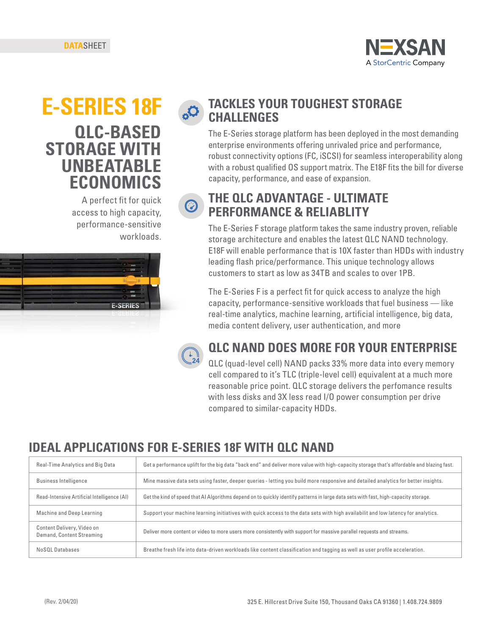

# **QLC-BASED STORAGE WITH UNBEATABLE ECONOMICS**

A perfect fit for quick access to high capacity, performance-sensitive workloads.



#### **E-SERIES 18F TACKLES YOUR TOUGHEST STORAGE CHALLENGES**

The E-Series storage platform has been deployed in the most demanding enterprise environments offering unrivaled price and performance, robust connectivity options (FC, iSCSI) for seamless interoperability along with a robust qualified OS support matrix. The E18F fits the bill for diverse capacity, performance, and ease of expansion.

#### **THE QLC ADVANTAGE - ULTIMATE**  ◎ **PERFORMANCE & RELIABLITY**

The E-Series F storage platform takes the same industry proven, reliable storage architecture and enables the latest QLC NAND technology. E18F will enable performance that is 10X faster than HDDs with industry leading flash price/performance. This unique technology allows customers to start as low as 34TB and scales to over 1PB.

The E-Series F is a perfect fit for quick access to analyze the high capacity, performance-sensitive workloads that fuel business — like real-time analytics, machine learning, artificial intelligence, big data, media content delivery, user authentication, and more



### **QLC NAND DOES MORE FOR YOUR ENTERPRISE**

QLC (quad-level cell) NAND packs 33% more data into every memory cell compared to it's TLC (triple-level cell) equivalent at a much more reasonable price point. QLC storage delivers the perfomance results with less disks and 3X less read I/O power consumption per drive compared to similar-capacity HDDs.

### **IDEAL APPLICATIONS FOR E-SERIES 18F WITH QLC NAND**

| Real-Time Analytics and Big Data                        | Get a performance uplift for the big data "back end" and deliver more value with high-capacity storage that's affordable and blazing fast. |  |
|---------------------------------------------------------|--------------------------------------------------------------------------------------------------------------------------------------------|--|
| <b>Business Intelligence</b>                            | Mine massive data sets using faster, deeper queries - letting you build more responsive and detailed analytics for better insights.        |  |
| Read-Intensive Artificial Intelligence (AI)             | Get the kind of speed that AI Algorithms depend on to quickly identify patterns in large data sets with fast, high-capacity storage.       |  |
| Machine and Deep Learning                               | Support your machine learning initiatives with quick access to the data sets with high availabilit and low latency for analytics.          |  |
| Content Delivery, Video on<br>Demand, Content Streaming | Deliver more content or video to more users more consistently with support for massive parallel requests and streams.                      |  |
| NoSOL Databases                                         | Breathe fresh life into data-driven workloads like content classification and tagging as well as user profile acceleration.                |  |